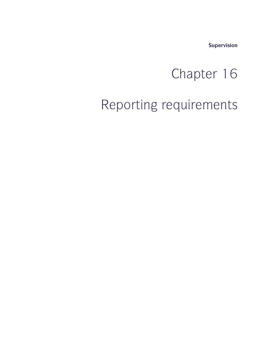**Supervision**

# supervision<br>
Chapter 16<br>
Chapter 16

### Chapter 16<br>Reporting requirements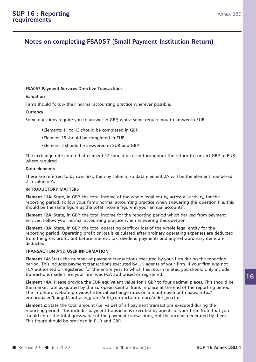## **16 : Reporting<br>
Annex<br>
Notes on completing FSA057 (Small Payment Institution Return)**

### **FSA057 Payment Services Directive Transactions**

### **Valuation**

FSA057 Payment Services Directive Transactions<br>Valuation<br>Firms should follow their normal accounting practice wherever possible.<br>Currency

### **Currency**

FSA057 Payment Services Directive Transactions<br>Firms should follow their normal accounting practice wherever possible.<br>Currency<br>Some questions require you to answer in GBP, whilst some require you to answer in EUR.<br>•Elemen

- 
- 
- 

Filements 11 to 13 should be completed in GBP.<br>
Filement 15 should be completed in EUR.<br>
Filement 2 should be answered in EUR and GBP.<br>
The exchange rate entered at element 14 should be used throughout the return to conver •Element 11 to 13 should be completed in GBP.<br>•Element 15 should be completed in EUR.<br>•Element 2 should be answered in EUR and GBP.<br>The exchange rate entered at element 14 should be used throughout the return to convert GB **Element 15 sh**<br>**Data element 2 sho**<br>The exchange rate enter<br>where required.<br>Data elements<br>These are referred to b •Element 2 should be answered in EUR and GBP.<br>The exchange rate entered at element 14 should be used throughout the return to convert GBP to EUR<br>where required.<br>Data elements<br>These are referred to by row first, then by col The exchange rate e<br>where required.<br>Data elements<br>These are referred t<br>2 in column A.<br>INTRODUCTORY MA

Where required.<br> **Data elements**<br>
These are referred to by row first, the<br>
2 in column A.<br> **INTRODUCTORY MATTERS**<br> **Element 11A:** State, in GBP, the total

**Data elements**<br>These are referred to by row first, then by column, so data element 2A will be the element numbered<br>2 in column A.<br>**INTRODUCTORY MATTERS**<br>**Element 11A:** State, in GBP, the total income of the whole legal en reporting are referred to by row first, then by column, so data element 2A will be the element numbered<br>2 in column A.<br>INTRODUCTORY MATTERS<br>Element 11A: State, in GBP, the total income of the whole legal entity, across all 2 in column A.<br> **INTRODUCTORY MATTERS**<br> **Element 11A:** State, in GBP, the total income of the whole legal entity, across all activity, for the<br>
reporting period. Follow your firm's normal accounting practice when answering **INTRODUCTORY MATTERS**<br>**Element 11A:** State, in GBP, the total income of the whole legal entity, across all activity, for the<br>reporting period. Follow your firm's normal accounting practice when answering this question (i. **INTRODUCTORY MATTERS**<br>**Element 11A:** State, in GBP, the total income of the whole legal entity, across all active<br>porting period. Follow your firm's normal accounting practice when answering this<br>should be the same figure

reporting period. Operating profit or loss is calculated after ordinary operating expenses are deducted<br>from the gross profit, but before interest, tax, dividend payments and any extraordinary items are reporting period. Follow your firm's normal accounting practice when answering this question (i.e. this<br>should be the same figure as the total income figure in your annual accounts).<br>**Element 12A:** State, in GBP, the total should be the same figure as the total income figure in your annual accounts).<br>**Element 12A:** State, in GBP, the total income for the reporting period which derived from payment<br>services. Follow your normal accounting prac deducted. Services. Follow your normal accounting practice when<br>**Element 13A:** State, in GBP, the total operating profit of<br>reporting period. Operating profit or loss is calculated<br>from the gross profit, but before interest, tax, di **Element 13A:** State, in GBP, the total operating profit or loss of the whole legal entity for the<br>reporting period. Operating profit or loss is calculated after ordinary operating expenses are deducted<br>from the gross prof

reporting period. Operating profit or loss is calculated after ordinary operating expenses are deducted<br>from the gross profit, but before interest, tax, dividend payments and any extraordinary items are<br>deducted.<br>**TRANSACT** FRANSACTION AND USER INFORMATION<br>FRANSACTION AND USER INFORMATION<br>FLEMENT AN: State the number of payment transactions executed by your firm during the reporting<br>period. This includes payment transactions executed by UK ag **TRANSACTION AND USER INFORMATION**<br> **Element 1A:** State the number of payment transactions executed by your firm during the reporting<br>
period. This includes payment transactions executed by UK agents of your firm. If your **Element 1A:** State the number of payment transactions executed by your firm during the reporting<br>period. This includes payment transactions executed by UK agents of your firm. If your firm was not<br>FCA authorised or regist Element 1A: State the number of payment transactions executed by your firm during the reporting<br>period. This includes payment transactions executed by UK agents of your firm. If your firm was not<br>FCA authorised or register

period. This includes payment transactions executed by UK agents of your firm. If your firm was FCA authorised or registered for the entire year to which this return relates, you should only includes transactions made sinc ec.europa.eu/budget/contracts\_grants/info\_contracts/inforeuro/index\_en.cfm transactions made since your firm was FCA authorised or registered.<br> **Element 14A:** Please provide the EUR equivalent value for 1 GBP to four decimal places. This should be<br>
the market rate as quoted by the European Centra **Element 14A:** Please provide the EUR equivalent value for 1 GBP to four decimal places. This should be<br>the market rate as quoted by the European Central Bank in place at the end of the reporting period.<br>The InforEuro webs

the market rate as quoted by the European Central Bank in place at the end of the reporting period.<br>The InforEuro website provides historical exchange rates on a month-by-month basis: http://<br>ec.europa.eu/budget/contracts\_ The InforEuro website provides historical exchange rates on a month-by-month basis: http://<br>ec.europa.eu/budget/contracts\_grants/info\_contracts/inforeuro/index\_en.cfm<br>Element 2: State the total amount (i.e. value) of all p Should enter the total gross value of the payment transactions, not the income generated by them.<br>
This figure should be provided in EUR and GBP.<br>
■ Release 20 ● Jun 2022 www.handbook.fca.org.uk **SUP 16 Annex 28D/1**